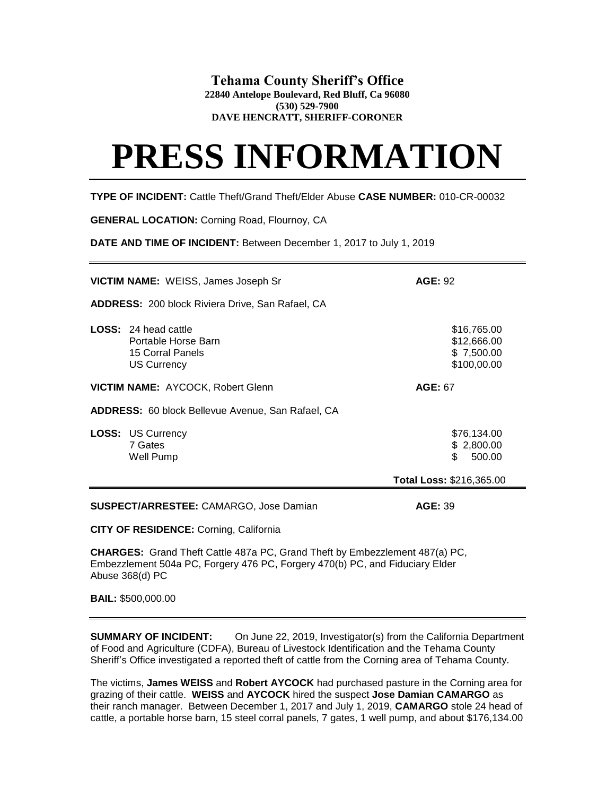## **Tehama County Sheriff's Office**

**22840 Antelope Boulevard, Red Bluff, Ca 96080 (530) 529-7900**

**DAVE HENCRATT, SHERIFF-CORONER**

## **PRESS INFORMATION**

**TYPE OF INCIDENT:** Cattle Theft/Grand Theft/Elder Abuse **CASE NUMBER:** 010-CR-00032

**GENERAL LOCATION:** Corning Road, Flournoy, CA

**DATE AND TIME OF INCIDENT:** Between December 1, 2017 to July 1, 2019

|                                                                             | <b>VICTIM NAME:</b> WEISS, James Joseph Sr                                                   | <b>AGE: 92</b>                                          |
|-----------------------------------------------------------------------------|----------------------------------------------------------------------------------------------|---------------------------------------------------------|
| <b>ADDRESS: 200 block Riviera Drive, San Rafael, CA</b>                     |                                                                                              |                                                         |
|                                                                             | <b>LOSS: 24 head cattle</b><br>Portable Horse Barn<br>15 Corral Panels<br><b>US Currency</b> | \$16,765.00<br>\$12,666.00<br>\$7,500.00<br>\$100,00.00 |
|                                                                             | VICTIM NAME: AYCOCK, Robert Glenn                                                            | <b>AGE: 67</b>                                          |
| ADDRESS: 60 block Bellevue Avenue, San Rafael, CA                           |                                                                                              |                                                         |
|                                                                             | <b>LOSS: US Currency</b><br>7 Gates<br>Well Pump                                             | \$76,134.00<br>\$2,800.00<br>\$.<br>500.00              |
|                                                                             |                                                                                              | Total Loss: \$216,365.00                                |
| <b>SUSPECT/ARRESTEE: CAMARGO, Jose Damian</b><br><b>AGE: 39</b>             |                                                                                              |                                                         |
| <b>CITY OF RESIDENCE: Corning, California</b>                               |                                                                                              |                                                         |
| CHARGES: Grand Theft Cattle 487a PC, Grand Theft by Embezzlement 487(a) PC, |                                                                                              |                                                         |

Embezzlement 504a PC, Forgery 476 PC, Forgery 470(b) PC, and Fiduciary Elder Abuse 368(d) PC

**BAIL:** \$500,000.00

**SUMMARY OF INCIDENT:** On June 22, 2019, Investigator(s) from the California Department of Food and Agriculture (CDFA), Bureau of Livestock Identification and the Tehama County Sheriff's Office investigated a reported theft of cattle from the Corning area of Tehama County.

The victims, **James WEISS** and **Robert AYCOCK** had purchased pasture in the Corning area for grazing of their cattle. **WEISS** and **AYCOCK** hired the suspect **Jose Damian CAMARGO** as their ranch manager.Between December 1, 2017 and July 1, 2019, **CAMARGO** stole 24 head of cattle, a portable horse barn, 15 steel corral panels, 7 gates, 1 well pump, and about \$176,134.00